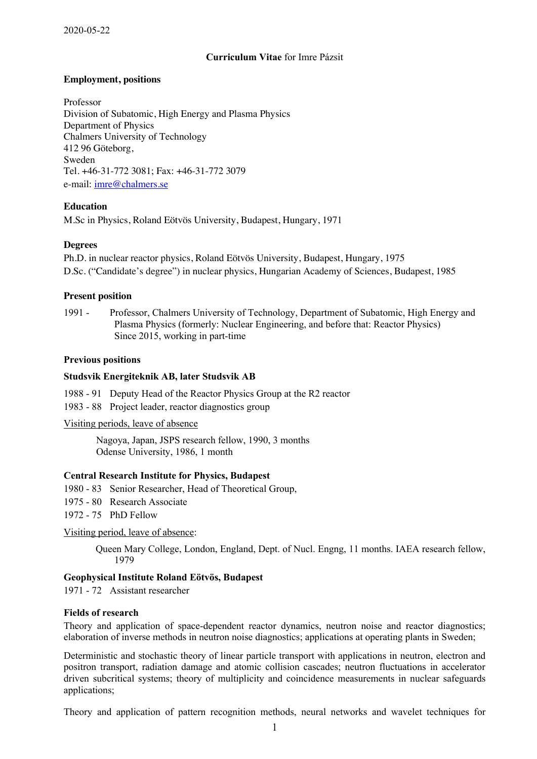# **Curriculum Vitae** for Imre Pázsit

# **Employment, positions**

Professor Division of Subatomic, High Energy and Plasma Physics Department of Physics Chalmers University of Technology 412 96 Göteborg, Sweden Tel. +46-31-772 3081; Fax: +46-31-772 3079 e-mail: imre@chalmers.se

# **Education**

M.Sc in Physics, Roland Eötvös University, Budapest, Hungary, 1971

# **Degrees**

Ph.D. in nuclear reactor physics, Roland Eötvös University, Budapest, Hungary, 1975 D.Sc. ("Candidate's degree") in nuclear physics, Hungarian Academy of Sciences, Budapest, 1985

# **Present position**

1991 - Professor, Chalmers University of Technology, Department of Subatomic, High Energy and Plasma Physics (formerly: Nuclear Engineering, and before that: Reactor Physics) Since 2015, working in part-time

# **Previous positions**

## **Studsvik Energiteknik AB, later Studsvik AB**

1988 - 91 Deputy Head of the Reactor Physics Group at the R2 reactor

1983 - 88 Project leader, reactor diagnostics group

Visiting periods, leave of absence

Nagoya, Japan, JSPS research fellow, 1990, 3 months Odense University, 1986, 1 month

# **Central Research Institute for Physics, Budapest**

- 1980 83 Senior Researcher, Head of Theoretical Group,
- 1975 80 Research Associate
- 1972 75 PhD Fellow

### Visiting period, leave of absence:

Queen Mary College, London, England, Dept. of Nucl. Engng, 11 months. IAEA research fellow, 1979

# **Geophysical Institute Roland Eötvös, Budapest**

1971 - 72 Assistant researcher

### **Fields of research**

Theory and application of space-dependent reactor dynamics, neutron noise and reactor diagnostics; elaboration of inverse methods in neutron noise diagnostics; applications at operating plants in Sweden;

Deterministic and stochastic theory of linear particle transport with applications in neutron, electron and positron transport, radiation damage and atomic collision cascades; neutron fluctuations in accelerator driven subcritical systems; theory of multiplicity and coincidence measurements in nuclear safeguards applications;

Theory and application of pattern recognition methods, neural networks and wavelet techniques for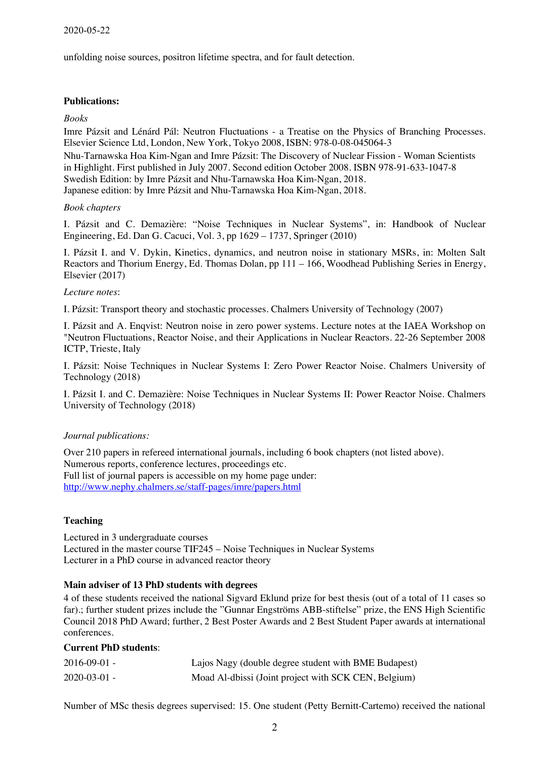unfolding noise sources, positron lifetime spectra, and for fault detection.

## **Publications:**

### *Books*

Imre Pázsit and Lénárd Pál: Neutron Fluctuations - a Treatise on the Physics of Branching Processes. Elsevier Science Ltd, London, New York, Tokyo 2008, ISBN: 978-0-08-045064-3 Nhu-Tarnawska Hoa Kim-Ngan and Imre Pázsit: The Discovery of Nuclear Fission - Woman Scientists in Highlight. First published in July 2007. Second edition October 2008. ISBN 978-91-633-1047-8 Swedish Edition: by Imre Pázsit and Nhu-Tarnawska Hoa Kim-Ngan, 2018. Japanese edition: by Imre Pázsit and Nhu-Tarnawska Hoa Kim-Ngan, 2018.

#### *Book chapters*

I. Pázsit and C. Demazière: "Noise Techniques in Nuclear Systems", in: Handbook of Nuclear Engineering, Ed. Dan G. Cacuci, Vol. 3, pp 1629 – 1737, Springer (2010)

I. Pázsit I. and V. Dykin, Kinetics, dynamics, and neutron noise in stationary MSRs, in: Molten Salt Reactors and Thorium Energy, Ed. Thomas Dolan, pp 111 – 166, Woodhead Publishing Series in Energy, Elsevier (2017)

#### *Lecture notes*:

I. Pázsit: Transport theory and stochastic processes. Chalmers University of Technology (2007)

I. Pázsit and A. Enqvist: Neutron noise in zero power systems. Lecture notes at the IAEA Workshop on "Neutron Fluctuations, Reactor Noise, and their Applications in Nuclear Reactors. 22-26 September 2008 ICTP, Trieste, Italy

I. Pázsit: Noise Techniques in Nuclear Systems I: Zero Power Reactor Noise. Chalmers University of Technology (2018)

I. Pázsit I. and C. Demazière: Noise Techniques in Nuclear Systems II: Power Reactor Noise. Chalmers University of Technology (2018)

### *Journal publications:*

Over 210 papers in refereed international journals, including 6 book chapters (not listed above). Numerous reports, conference lectures, proceedings etc. Full list of journal papers is accessible on my home page under: http://www.nephy.chalmers.se/staff-pages/imre/papers.html

### **Teaching**

Lectured in 3 undergraduate courses Lectured in the master course TIF245 – Noise Techniques in Nuclear Systems Lecturer in a PhD course in advanced reactor theory

### **Main adviser of 13 PhD students with degrees**

4 of these students received the national Sigvard Eklund prize for best thesis (out of a total of 11 cases so far).; further student prizes include the "Gunnar Engströms ABB-stiftelse" prize, the ENS High Scientific Council 2018 PhD Award; further, 2 Best Poster Awards and 2 Best Student Paper awards at international conferences.

### **Current PhD students**:

| $2016 - 09 - 01$ - | Lajos Nagy (double degree student with BME Budapest) |
|--------------------|------------------------------------------------------|
| $2020 - 03 - 01$ - | Moad Al-dbissi (Joint project with SCK CEN, Belgium) |

Number of MSc thesis degrees supervised: 15. One student (Petty Bernitt-Cartemo) received the national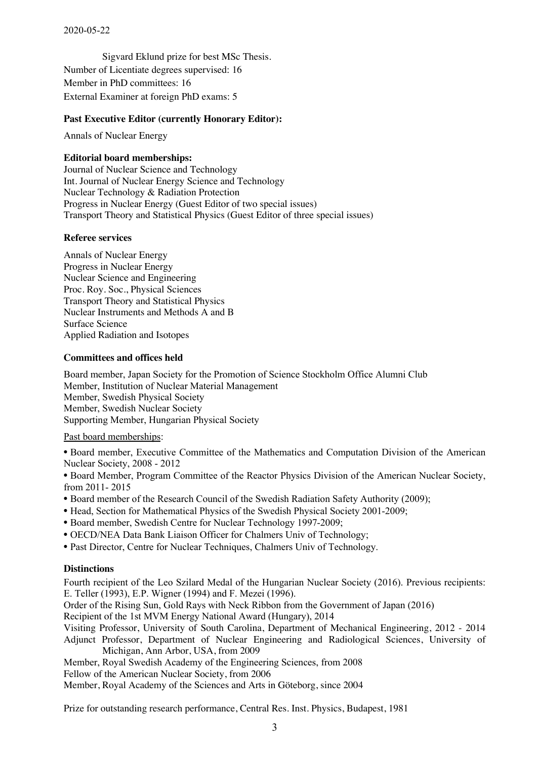Sigvard Eklund prize for best MSc Thesis. Number of Licentiate degrees supervised: 16 Member in PhD committees: 16 External Examiner at foreign PhD exams: 5

# **Past Executive Editor (currently Honorary Editor):**

Annals of Nuclear Energy

## **Editorial board memberships:**

Journal of Nuclear Science and Technology Int. Journal of Nuclear Energy Science and Technology Nuclear Technology & Radiation Protection Progress in Nuclear Energy (Guest Editor of two special issues) Transport Theory and Statistical Physics (Guest Editor of three special issues)

### **Referee services**

Annals of Nuclear Energy Progress in Nuclear Energy Nuclear Science and Engineering Proc. Roy. Soc., Physical Sciences Transport Theory and Statistical Physics Nuclear Instruments and Methods A and B Surface Science Applied Radiation and Isotopes

# **Committees and offices held**

Board member, Japan Society for the Promotion of Science Stockholm Office Alumni Club Member, Institution of Nuclear Material Management Member, Swedish Physical Society Member, Swedish Nuclear Society Supporting Member, Hungarian Physical Society

### Past board memberships:

• Board member, Executive Committee of the Mathematics and Computation Division of the American Nuclear Society, 2008 - 2012

• Board Member, Program Committee of the Reactor Physics Division of the American Nuclear Society, from 2011- 2015

- Board member of the Research Council of the Swedish Radiation Safety Authority (2009);
- Head, Section for Mathematical Physics of the Swedish Physical Society 2001-2009;
- Board member, Swedish Centre for Nuclear Technology 1997-2009;
- OECD/NEA Data Bank Liaison Officer for Chalmers Univ of Technology;
- Past Director, Centre for Nuclear Techniques, Chalmers Univ of Technology.

### **Distinctions**

Fourth recipient of the Leo Szilard Medal of the Hungarian Nuclear Society (2016). Previous recipients: E. Teller (1993), E.P. Wigner (1994) and F. Mezei (1996).

Order of the Rising Sun, Gold Rays with Neck Ribbon from the Government of Japan (2016)

Recipient of the 1st MVM Energy National Award (Hungary), 2014

Visiting Professor, University of South Carolina, Department of Mechanical Engineering, 2012 - 2014 Adjunct Professor, Department of Nuclear Engineering and Radiological Sciences, University of Michigan, Ann Arbor, USA, from 2009

Member, Royal Swedish Academy of the Engineering Sciences, from 2008

Fellow of the American Nuclear Society, from 2006

Member, Royal Academy of the Sciences and Arts in Göteborg, since 2004

Prize for outstanding research performance, Central Res. Inst. Physics, Budapest, 1981